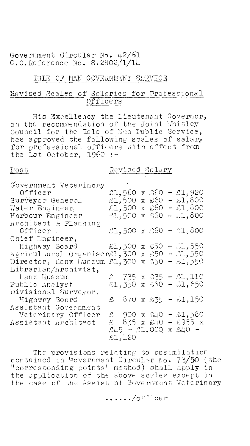Government Circular No. 42/61  $G.0.$  Reference No. S.2802/1/14

## ISLE OF HAN GOVERNMENT SERVICE

## Revised Scales of Salaries for Professional Officers

His Excellency the Lieutenant Governor, on the recommendation of the Joint Whitley<br>Council for the Isle of Man Public Service, has approved the following scales of salary for professional officers with effect from<br>the 1st October, 1960 :-

Post

Revised Salary

| Government Veterinary                                          |        |  |  |  |  |                                                    |
|----------------------------------------------------------------|--------|--|--|--|--|----------------------------------------------------|
| $Office$ r                                                     |        |  |  |  |  | £1,560 x £60 - £1,920                              |
| Surveyor General                                               |        |  |  |  |  | $51,500 \times 60 - 1,800$                         |
| Water Engineer                                                 |        |  |  |  |  | £1,500 x £60 - £1,800                              |
| Harbour Engineer                                               |        |  |  |  |  | $31,500 \times 60 - 31,800$                        |
| Architect & Planning                                           |        |  |  |  |  |                                                    |
| Officer                                                        |        |  |  |  |  | 21,500 x 260 - 21,800                              |
| Chief Engineer,                                                |        |  |  |  |  |                                                    |
| Highway Board $\text{L}$ , 300 x $\text{L}50 - \text{L}$ , 550 |        |  |  |  |  |                                                    |
| Agricultural Organiser21,300 x 250 - 21,550                    |        |  |  |  |  |                                                    |
| Director, Manx Luseum $E1,300$ x $E50 - E1,550$                |        |  |  |  |  |                                                    |
| Librarian/Archivist,                                           |        |  |  |  |  |                                                    |
| Hanx Museum                                                    |        |  |  |  |  | $\approx$ 735 x $\frac{635}{5}$ - $\frac{61}{110}$ |
| Public Analyst                                                 |        |  |  |  |  | $31,350 \times 360 - 31,650$                       |
| Divisional Surveyor,                                           |        |  |  |  |  |                                                    |
| Highway Board                                                  |        |  |  |  |  | $$370 \times $35 - $1,150$                         |
| Assistant Government                                           |        |  |  |  |  |                                                    |
| Veterinary Officer                                             |        |  |  |  |  | £ 900 x £40 - £1,580                               |
| Assistant Architect                                            |        |  |  |  |  | £ 835 x £40 - £955 x                               |
|                                                                |        |  |  |  |  | $\pounds45 - \pounds1,000$ x $\pounds40 -$         |
|                                                                | 51,120 |  |  |  |  |                                                    |

The provisions relating to assimilation contained in Government Circular No. 73/50 (the<br>"corresponding points" method) shall apply in<br>the application of the shove scales except in the case of the Assist nt Government Veterinary

 $\ldots$  /officer